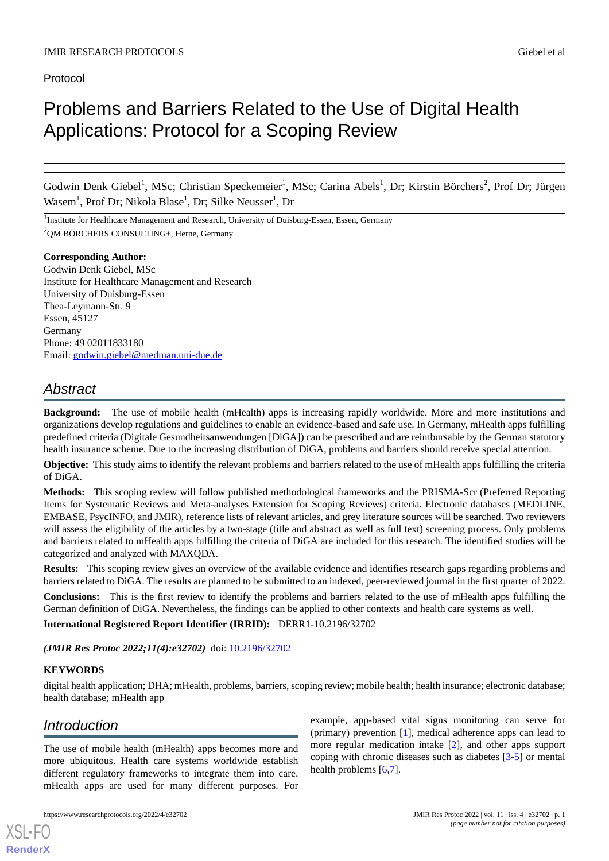# Protocol

# Problems and Barriers Related to the Use of Digital Health Applications: Protocol for a Scoping Review

Godwin Denk Giebel<sup>1</sup>, MSc; Christian Speckemeier<sup>1</sup>, MSc; Carina Abels<sup>1</sup>, Dr; Kirstin Börchers<sup>2</sup>, Prof Dr; Jürgen Wasem<sup>1</sup>, Prof Dr; Nikola Blase<sup>1</sup>, Dr; Silke Neusser<sup>1</sup>, Dr

<sup>1</sup>Institute for Healthcare Management and Research, University of Duisburg-Essen, Essen, Germany <sup>2</sup>QM BÖRCHERS CONSULTING+, Herne, Germany

#### **Corresponding Author:**

Godwin Denk Giebel, MSc Institute for Healthcare Management and Research University of Duisburg-Essen Thea-Leymann-Str. 9 Essen, 45127 Germany Phone: 49 02011833180 Email: [godwin.giebel@medman.uni-due.de](mailto:godwin.giebel@medman.uni-due.de)

# *Abstract*

**Background:** The use of mobile health (mHealth) apps is increasing rapidly worldwide. More and more institutions and organizations develop regulations and guidelines to enable an evidence-based and safe use. In Germany, mHealth apps fulfilling predefined criteria (Digitale Gesundheitsanwendungen [DiGA]) can be prescribed and are reimbursable by the German statutory health insurance scheme. Due to the increasing distribution of DiGA, problems and barriers should receive special attention.

**Objective:** This study aims to identify the relevant problems and barriers related to the use of mHealth apps fulfilling the criteria of DiGA.

**Methods:** This scoping review will follow published methodological frameworks and the PRISMA-Scr (Preferred Reporting Items for Systematic Reviews and Meta-analyses Extension for Scoping Reviews) criteria. Electronic databases (MEDLINE, EMBASE, PsycINFO, and JMIR), reference lists of relevant articles, and grey literature sources will be searched. Two reviewers will assess the eligibility of the articles by a two-stage (title and abstract as well as full text) screening process. Only problems and barriers related to mHealth apps fulfilling the criteria of DiGA are included for this research. The identified studies will be categorized and analyzed with MAXQDA.

**Results:** This scoping review gives an overview of the available evidence and identifies research gaps regarding problems and barriers related to DiGA. The results are planned to be submitted to an indexed, peer-reviewed journal in the first quarter of 2022.

**Conclusions:** This is the first review to identify the problems and barriers related to the use of mHealth apps fulfilling the German definition of DiGA. Nevertheless, the findings can be applied to other contexts and health care systems as well.

**International Registered Report Identifier (IRRID):** DERR1-10.2196/32702

*(JMIR Res Protoc 2022;11(4):e32702)* doi: [10.2196/32702](http://dx.doi.org/10.2196/32702)

# **KEYWORDS**

digital health application; DHA; mHealth, problems, barriers, scoping review; mobile health; health insurance; electronic database; health database; mHealth app

# *Introduction*

[XSL](http://www.w3.org/Style/XSL)•FO **[RenderX](http://www.renderx.com/)**

The use of mobile health (mHealth) apps becomes more and more ubiquitous. Health care systems worldwide establish different regulatory frameworks to integrate them into care. mHealth apps are used for many different purposes. For

example, app-based vital signs monitoring can serve for (primary) prevention [\[1](#page-4-0)], medical adherence apps can lead to more regular medication intake [[2](#page-4-1)], and other apps support coping with chronic diseases such as diabetes [[3-](#page-4-2)[5](#page-4-3)] or mental health problems [[6,](#page-4-4)[7](#page-4-5)].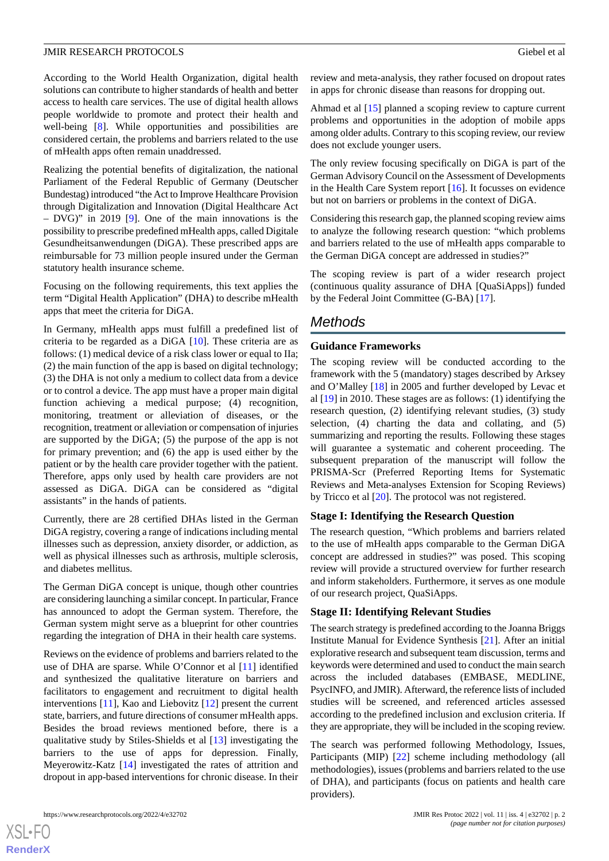According to the World Health Organization, digital health solutions can contribute to higher standards of health and better access to health care services. The use of digital health allows people worldwide to promote and protect their health and well-being [\[8](#page-4-6)]. While opportunities and possibilities are considered certain, the problems and barriers related to the use of mHealth apps often remain unaddressed.

Realizing the potential benefits of digitalization, the national Parliament of the Federal Republic of Germany (Deutscher Bundestag) introduced "the Act to Improve Healthcare Provision through Digitalization and Innovation (Digital Healthcare Act – DVG)" in 2019 [\[9](#page-4-7)]. One of the main innovations is the possibility to prescribe predefined mHealth apps, called Digitale Gesundheitsanwendungen (DiGA). These prescribed apps are reimbursable for 73 million people insured under the German statutory health insurance scheme.

Focusing on the following requirements, this text applies the term "Digital Health Application" (DHA) to describe mHealth apps that meet the criteria for DiGA.

In Germany, mHealth apps must fulfill a predefined list of criteria to be regarded as a DiGA [[10\]](#page-5-0). These criteria are as follows: (1) medical device of a risk class lower or equal to IIa; (2) the main function of the app is based on digital technology; (3) the DHA is not only a medium to collect data from a device or to control a device. The app must have a proper main digital function achieving a medical purpose; (4) recognition, monitoring, treatment or alleviation of diseases, or the recognition, treatment or alleviation or compensation of injuries are supported by the DiGA; (5) the purpose of the app is not for primary prevention; and (6) the app is used either by the patient or by the health care provider together with the patient. Therefore, apps only used by health care providers are not assessed as DiGA. DiGA can be considered as "digital assistants" in the hands of patients.

Currently, there are 28 certified DHAs listed in the German DiGA registry, covering a range of indications including mental illnesses such as depression, anxiety disorder, or addiction, as well as physical illnesses such as arthrosis, multiple sclerosis, and diabetes mellitus.

The German DiGA concept is unique, though other countries are considering launching a similar concept. In particular, France has announced to adopt the German system. Therefore, the German system might serve as a blueprint for other countries regarding the integration of DHA in their health care systems.

Reviews on the evidence of problems and barriers related to the use of DHA are sparse. While O'Connor et al [[11\]](#page-5-1) identified and synthesized the qualitative literature on barriers and facilitators to engagement and recruitment to digital health interventions [[11\]](#page-5-1), Kao and Liebovitz [\[12](#page-5-2)] present the current state, barriers, and future directions of consumer mHealth apps. Besides the broad reviews mentioned before, there is a qualitative study by Stiles-Shields et al [\[13](#page-5-3)] investigating the barriers to the use of apps for depression. Finally, Meyerowitz-Katz [\[14](#page-5-4)] investigated the rates of attrition and dropout in app-based interventions for chronic disease. In their

 $XS$  $\cdot$ FC **[RenderX](http://www.renderx.com/)** review and meta-analysis, they rather focused on dropout rates in apps for chronic disease than reasons for dropping out.

Ahmad et al [[15\]](#page-5-5) planned a scoping review to capture current problems and opportunities in the adoption of mobile apps among older adults. Contrary to this scoping review, our review does not exclude younger users.

The only review focusing specifically on DiGA is part of the German Advisory Council on the Assessment of Developments in the Health Care System report [\[16](#page-5-6)]. It focusses on evidence but not on barriers or problems in the context of DiGA.

Considering this research gap, the planned scoping review aims to analyze the following research question: "which problems and barriers related to the use of mHealth apps comparable to the German DiGA concept are addressed in studies?"

The scoping review is part of a wider research project (continuous quality assurance of DHA [QuaSiApps]) funded by the Federal Joint Committee (G-BA) [[17\]](#page-5-7).

# *Methods*

# **Guidance Frameworks**

The scoping review will be conducted according to the framework with the 5 (mandatory) stages described by Arksey and O'Malley [[18\]](#page-5-8) in 2005 and further developed by Levac et al [\[19](#page-5-9)] in 2010. These stages are as follows: (1) identifying the research question, (2) identifying relevant studies, (3) study selection, (4) charting the data and collating, and (5) summarizing and reporting the results. Following these stages will guarantee a systematic and coherent proceeding. The subsequent preparation of the manuscript will follow the PRISMA-Scr (Preferred Reporting Items for Systematic Reviews and Meta-analyses Extension for Scoping Reviews) by Tricco et al [\[20](#page-5-10)]. The protocol was not registered.

# **Stage I: Identifying the Research Question**

The research question, "Which problems and barriers related to the use of mHealth apps comparable to the German DiGA concept are addressed in studies?" was posed. This scoping review will provide a structured overview for further research and inform stakeholders. Furthermore, it serves as one module of our research project, QuaSiApps.

# **Stage II: Identifying Relevant Studies**

The search strategy is predefined according to the Joanna Briggs Institute Manual for Evidence Synthesis [[21\]](#page-5-11). After an initial explorative research and subsequent team discussion, terms and keywords were determined and used to conduct the main search across the included databases (EMBASE, MEDLINE, PsycINFO, and JMIR). Afterward, the reference lists of included studies will be screened, and referenced articles assessed according to the predefined inclusion and exclusion criteria. If they are appropriate, they will be included in the scoping review.

The search was performed following Methodology, Issues, Participants (MIP) [[22\]](#page-5-12) scheme including methodology (all methodologies), issues (problems and barriers related to the use of DHA), and participants (focus on patients and health care providers).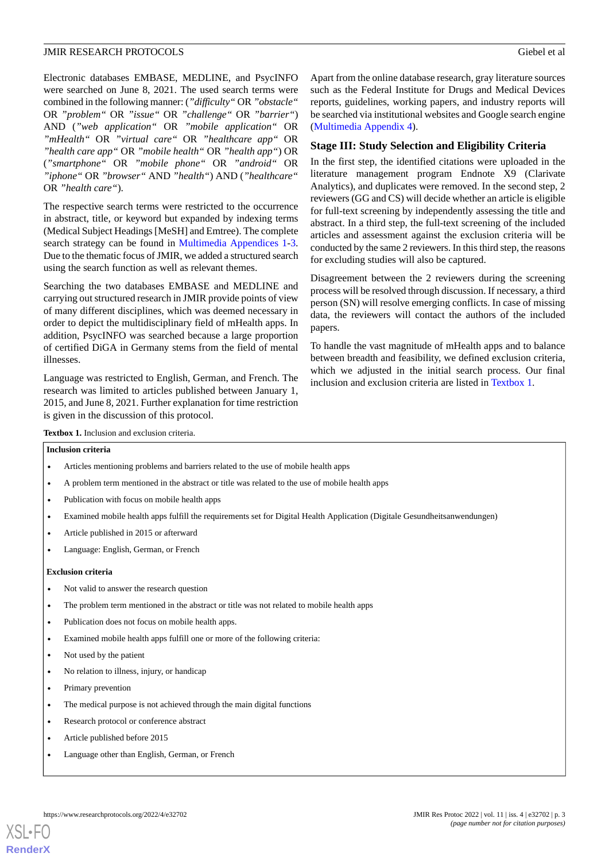Electronic databases EMBASE, MEDLINE, and PsycINFO were searched on June 8, 2021. The used search terms were combined in the following manner: (*"difficulty"* OR *"obstacle"* OR *"problem"* OR *"issue"* OR *"challenge"* OR *"barrier"*) AND (*"web application"* OR *"mobile application"* OR *"mHealth"* OR *"virtual care"* OR *"healthcare app"* OR *"health care app"* OR *"mobile health"* OR *"health app"*) OR (*"smartphone"* OR *"mobile phone"* OR *"android"* OR *"iphone"* OR *"browser"* AND *"health"*) AND (*"healthcare"* OR *"health care"*).

The respective search terms were restricted to the occurrence in abstract, title, or keyword but expanded by indexing terms (Medical Subject Headings [MeSH] and Emtree). The complete search strategy can be found in [Multimedia Appendices 1-](#page-4-8)[3](#page-4-9). Due to the thematic focus of JMIR, we added a structured search using the search function as well as relevant themes.

Searching the two databases EMBASE and MEDLINE and carrying out structured research in JMIR provide points of view of many different disciplines, which was deemed necessary in order to depict the multidisciplinary field of mHealth apps. In addition, PsycINFO was searched because a large proportion of certified DiGA in Germany stems from the field of mental illnesses.

<span id="page-2-0"></span>Language was restricted to English, German, and French. The research was limited to articles published between January 1, 2015, and June 8, 2021. Further explanation for time restriction is given in the discussion of this protocol.

Apart from the online database research, gray literature sources such as the Federal Institute for Drugs and Medical Devices reports, guidelines, working papers, and industry reports will be searched via institutional websites and Google search engine ([Multimedia Appendix 4](#page-4-10)).

#### **Stage III: Study Selection and Eligibility Criteria**

In the first step, the identified citations were uploaded in the literature management program Endnote X9 (Clarivate Analytics), and duplicates were removed. In the second step, 2 reviewers (GG and CS) will decide whether an article is eligible for full-text screening by independently assessing the title and abstract. In a third step, the full-text screening of the included articles and assessment against the exclusion criteria will be conducted by the same 2 reviewers. In this third step, the reasons for excluding studies will also be captured.

Disagreement between the 2 reviewers during the screening process will be resolved through discussion. If necessary, a third person (SN) will resolve emerging conflicts. In case of missing data, the reviewers will contact the authors of the included papers.

To handle the vast magnitude of mHealth apps and to balance between breadth and feasibility, we defined exclusion criteria, which we adjusted in the initial search process. Our final inclusion and exclusion criteria are listed in [Textbox 1](#page-2-0).

**Textbox 1.** Inclusion and exclusion criteria.

#### **Inclusion criteria**

- Articles mentioning problems and barriers related to the use of mobile health apps
- A problem term mentioned in the abstract or title was related to the use of mobile health apps
- Publication with focus on mobile health apps
- Examined mobile health apps fulfill the requirements set for Digital Health Application (Digitale Gesundheitsanwendungen)
- Article published in 2015 or afterward
- Language: English, German, or French

#### **Exclusion criteria**

- Not valid to answer the research question
- The problem term mentioned in the abstract or title was not related to mobile health apps
- Publication does not focus on mobile health apps.
- Examined mobile health apps fulfill one or more of the following criteria:
- Not used by the patient
- No relation to illness, injury, or handicap
- Primary prevention

[XSL](http://www.w3.org/Style/XSL)•FO **[RenderX](http://www.renderx.com/)**

- The medical purpose is not achieved through the main digital functions
- Research protocol or conference abstract
- Article published before 2015
- Language other than English, German, or French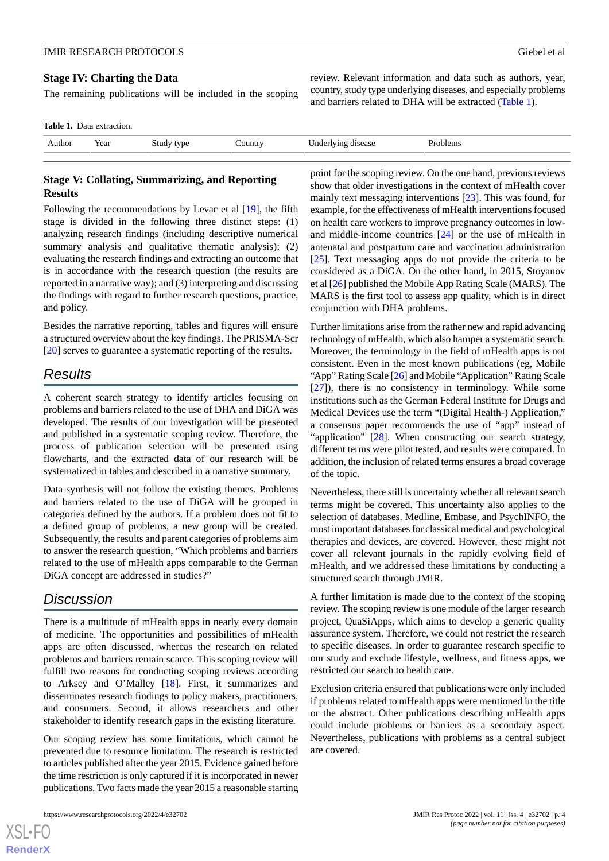#### **Stage IV: Charting the Data**

The remaining publications will be included in the scoping

<span id="page-3-0"></span>**Table 1.** Data extraction.

| . AULHOF | ρ٥<br>real | . . | . | .<br>. |  |
|----------|------------|-----|---|--------|--|

# **Stage V: Collating, Summarizing, and Reporting Results**

Following the recommendations by Levac et al [\[19](#page-5-9)], the fifth stage is divided in the following three distinct steps: (1) analyzing research findings (including descriptive numerical summary analysis and qualitative thematic analysis); (2) evaluating the research findings and extracting an outcome that is in accordance with the research question (the results are reported in a narrative way); and (3) interpreting and discussing the findings with regard to further research questions, practice, and policy.

Besides the narrative reporting, tables and figures will ensure a structured overview about the key findings. The PRISMA-Scr [[20\]](#page-5-10) serves to guarantee a systematic reporting of the results.

# *Results*

A coherent search strategy to identify articles focusing on problems and barriers related to the use of DHA and DiGA was developed. The results of our investigation will be presented and published in a systematic scoping review. Therefore, the process of publication selection will be presented using flowcharts, and the extracted data of our research will be systematized in tables and described in a narrative summary.

Data synthesis will not follow the existing themes. Problems and barriers related to the use of DiGA will be grouped in categories defined by the authors. If a problem does not fit to a defined group of problems, a new group will be created. Subsequently, the results and parent categories of problems aim to answer the research question, "Which problems and barriers related to the use of mHealth apps comparable to the German DiGA concept are addressed in studies?"

# *Discussion*

There is a multitude of mHealth apps in nearly every domain of medicine. The opportunities and possibilities of mHealth apps are often discussed, whereas the research on related problems and barriers remain scarce. This scoping review will fulfill two reasons for conducting scoping reviews according to Arksey and O'Malley [\[18](#page-5-8)]. First, it summarizes and disseminates research findings to policy makers, practitioners, and consumers. Second, it allows researchers and other stakeholder to identify research gaps in the existing literature.

Our scoping review has some limitations, which cannot be prevented due to resource limitation. The research is restricted to articles published after the year 2015. Evidence gained before the time restriction is only captured if it is incorporated in newer publications. Two facts made the year 2015 a reasonable starting

[XSL](http://www.w3.org/Style/XSL)•FO **[RenderX](http://www.renderx.com/)**

point for the scoping review. On the one hand, previous reviews show that older investigations in the context of mHealth cover mainly text messaging interventions [\[23](#page-5-13)]. This was found, for example, for the effectiveness of mHealth interventions focused on health care workers to improve pregnancy outcomes in lowand middle-income countries [[24\]](#page-5-14) or the use of mHealth in antenatal and postpartum care and vaccination administration [[25\]](#page-5-15). Text messaging apps do not provide the criteria to be considered as a DiGA. On the other hand, in 2015, Stoyanov et al [\[26](#page-5-16)] published the Mobile App Rating Scale (MARS). The MARS is the first tool to assess app quality, which is in direct conjunction with DHA problems.

review. Relevant information and data such as authors, year, country, study type underlying diseases, and especially problems and barriers related to DHA will be extracted [\(Table 1\)](#page-3-0).

Further limitations arise from the rather new and rapid advancing technology of mHealth, which also hamper a systematic search. Moreover, the terminology in the field of mHealth apps is not consistent. Even in the most known publications (eg, Mobile "App" Rating Scale [\[26](#page-5-16)] and Mobile "Application" Rating Scale [[27\]](#page-5-17)), there is no consistency in terminology. While some institutions such as the German Federal Institute for Drugs and Medical Devices use the term "(Digital Health-) Application," a consensus paper recommends the use of "app" instead of "application" [[28\]](#page-5-18). When constructing our search strategy, different terms were pilot tested, and results were compared. In addition, the inclusion of related terms ensures a broad coverage of the topic.

Nevertheless, there still is uncertainty whether all relevant search terms might be covered. This uncertainty also applies to the selection of databases. Medline, Embase, and PsychINFO, the most important databases for classical medical and psychological therapies and devices, are covered. However, these might not cover all relevant journals in the rapidly evolving field of mHealth, and we addressed these limitations by conducting a structured search through JMIR.

A further limitation is made due to the context of the scoping review. The scoping review is one module of the larger research project, QuaSiApps, which aims to develop a generic quality assurance system. Therefore, we could not restrict the research to specific diseases. In order to guarantee research specific to our study and exclude lifestyle, wellness, and fitness apps, we restricted our search to health care.

Exclusion criteria ensured that publications were only included if problems related to mHealth apps were mentioned in the title or the abstract. Other publications describing mHealth apps could include problems or barriers as a secondary aspect. Nevertheless, publications with problems as a central subject are covered.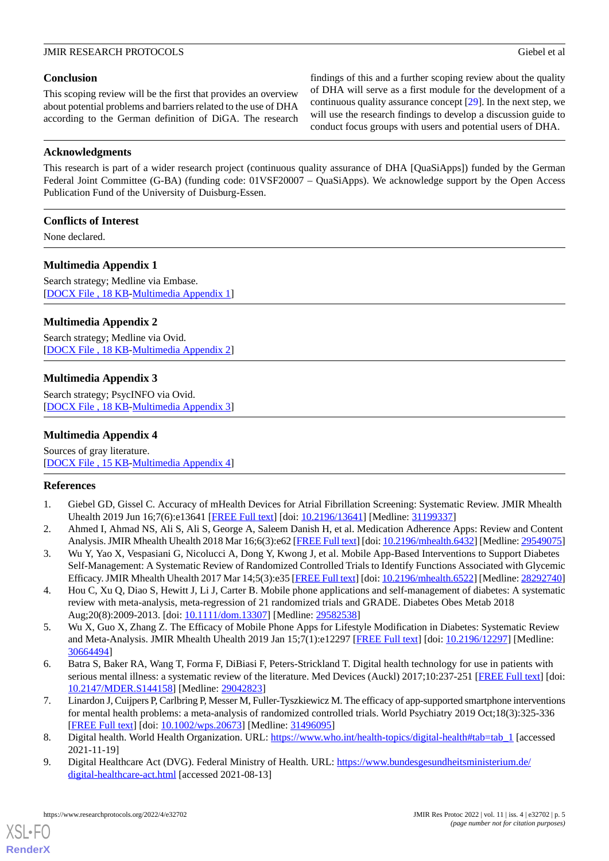### **Conclusion**

This scoping review will be the first that provides an overview about potential problems and barriers related to the use of DHA according to the German definition of DiGA. The research findings of this and a further scoping review about the quality of DHA will serve as a first module for the development of a continuous quality assurance concept [[29\]](#page-5-19). In the next step, we will use the research findings to develop a discussion guide to conduct focus groups with users and potential users of DHA.

### **Acknowledgments**

This research is part of a wider research project (continuous quality assurance of DHA [QuaSiApps]) funded by the German Federal Joint Committee (G-BA) (funding code: 01VSF20007 – QuaSiApps). We acknowledge support by the Open Access Publication Fund of the University of Duisburg-Essen.

### **Conflicts of Interest**

<span id="page-4-8"></span>None declared.

# **Multimedia Appendix 1**

Search strategy; Medline via Embase. [[DOCX File , 18 KB](https://jmir.org/api/download?alt_name=resprot_v11i4e32702_app1.docx&filename=75cee6e43143c95a5ff05a7cbdb531b6.docx)-[Multimedia Appendix 1\]](https://jmir.org/api/download?alt_name=resprot_v11i4e32702_app1.docx&filename=75cee6e43143c95a5ff05a7cbdb531b6.docx)

#### **Multimedia Appendix 2**

<span id="page-4-9"></span>Search strategy; Medline via Ovid. [[DOCX File , 18 KB](https://jmir.org/api/download?alt_name=resprot_v11i4e32702_app2.docx&filename=a8e3faa4cde9552ca3c7cb74a59c148e.docx)-[Multimedia Appendix 2\]](https://jmir.org/api/download?alt_name=resprot_v11i4e32702_app2.docx&filename=a8e3faa4cde9552ca3c7cb74a59c148e.docx)

#### **Multimedia Appendix 3**

<span id="page-4-10"></span>Search strategy; PsycINFO via Ovid. [[DOCX File , 18 KB](https://jmir.org/api/download?alt_name=resprot_v11i4e32702_app3.docx&filename=fa3affd027f14d7285083dde07a1f432.docx)-[Multimedia Appendix 3\]](https://jmir.org/api/download?alt_name=resprot_v11i4e32702_app3.docx&filename=fa3affd027f14d7285083dde07a1f432.docx)

### **Multimedia Appendix 4**

<span id="page-4-0"></span>Sources of gray literature. [[DOCX File , 15 KB](https://jmir.org/api/download?alt_name=resprot_v11i4e32702_app4.docx&filename=824d256dea3d9cc075c193ebf48f0f5f.docx)-[Multimedia Appendix 4\]](https://jmir.org/api/download?alt_name=resprot_v11i4e32702_app4.docx&filename=824d256dea3d9cc075c193ebf48f0f5f.docx)

#### <span id="page-4-1"></span>**References**

- <span id="page-4-2"></span>1. Giebel GD, Gissel C. Accuracy of mHealth Devices for Atrial Fibrillation Screening: Systematic Review. JMIR Mhealth Uhealth 2019 Jun 16;7(6):e13641 [\[FREE Full text\]](https://mhealth.jmir.org/2019/6/e13641/) [doi: [10.2196/13641\]](http://dx.doi.org/10.2196/13641) [Medline: [31199337\]](http://www.ncbi.nlm.nih.gov/entrez/query.fcgi?cmd=Retrieve&db=PubMed&list_uids=31199337&dopt=Abstract)
- 2. Ahmed I, Ahmad NS, Ali S, Ali S, George A, Saleem Danish H, et al. Medication Adherence Apps: Review and Content Analysis. JMIR Mhealth Uhealth 2018 Mar 16;6(3):e62 [[FREE Full text\]](https://mhealth.jmir.org/2018/3/e62/) [doi: [10.2196/mhealth.6432\]](http://dx.doi.org/10.2196/mhealth.6432) [Medline: [29549075](http://www.ncbi.nlm.nih.gov/entrez/query.fcgi?cmd=Retrieve&db=PubMed&list_uids=29549075&dopt=Abstract)]
- <span id="page-4-3"></span>3. Wu Y, Yao X, Vespasiani G, Nicolucci A, Dong Y, Kwong J, et al. Mobile App-Based Interventions to Support Diabetes Self-Management: A Systematic Review of Randomized Controlled Trials to Identify Functions Associated with Glycemic Efficacy. JMIR Mhealth Uhealth 2017 Mar 14;5(3):e35 [[FREE Full text\]](https://mhealth.jmir.org/2017/3/e35/) [doi: [10.2196/mhealth.6522](http://dx.doi.org/10.2196/mhealth.6522)] [Medline: [28292740\]](http://www.ncbi.nlm.nih.gov/entrez/query.fcgi?cmd=Retrieve&db=PubMed&list_uids=28292740&dopt=Abstract)
- <span id="page-4-4"></span>4. Hou C, Xu Q, Diao S, Hewitt J, Li J, Carter B. Mobile phone applications and self-management of diabetes: A systematic review with meta-analysis, meta-regression of 21 randomized trials and GRADE. Diabetes Obes Metab 2018 Aug;20(8):2009-2013. [doi: [10.1111/dom.13307](http://dx.doi.org/10.1111/dom.13307)] [Medline: [29582538](http://www.ncbi.nlm.nih.gov/entrez/query.fcgi?cmd=Retrieve&db=PubMed&list_uids=29582538&dopt=Abstract)]
- <span id="page-4-5"></span>5. Wu X, Guo X, Zhang Z. The Efficacy of Mobile Phone Apps for Lifestyle Modification in Diabetes: Systematic Review and Meta-Analysis. JMIR Mhealth Uhealth 2019 Jan 15;7(1):e12297 [\[FREE Full text\]](https://mhealth.jmir.org/2019/1/e12297/) [doi: [10.2196/12297](http://dx.doi.org/10.2196/12297)] [Medline: [30664494](http://www.ncbi.nlm.nih.gov/entrez/query.fcgi?cmd=Retrieve&db=PubMed&list_uids=30664494&dopt=Abstract)]
- <span id="page-4-6"></span>6. Batra S, Baker RA, Wang T, Forma F, DiBiasi F, Peters-Strickland T. Digital health technology for use in patients with serious mental illness: a systematic review of the literature. Med Devices (Auckl) 2017;10:237-251 [[FREE Full text](https://dx.doi.org/10.2147/MDER.S144158)] [doi: [10.2147/MDER.S144158\]](http://dx.doi.org/10.2147/MDER.S144158) [Medline: [29042823](http://www.ncbi.nlm.nih.gov/entrez/query.fcgi?cmd=Retrieve&db=PubMed&list_uids=29042823&dopt=Abstract)]
- <span id="page-4-7"></span>7. Linardon J, Cuijpers P, Carlbring P, Messer M, Fuller-Tyszkiewicz M. The efficacy of app-supported smartphone interventions for mental health problems: a meta-analysis of randomized controlled trials. World Psychiatry 2019 Oct;18(3):325-336 [[FREE Full text](https://doi.org/10.1002/wps.20673)] [doi: [10.1002/wps.20673](http://dx.doi.org/10.1002/wps.20673)] [Medline: [31496095](http://www.ncbi.nlm.nih.gov/entrez/query.fcgi?cmd=Retrieve&db=PubMed&list_uids=31496095&dopt=Abstract)]
- 8. Digital health. World Health Organization. URL: [https://www.who.int/health-topics/digital-health#tab=tab\\_1](https://www.who.int/health-topics/digital-health#tab=tab_1) [accessed 2021-11-19]
- 9. Digital Healthcare Act (DVG). Federal Ministry of Health. URL: [https://www.bundesgesundheitsministerium.de/](https://www.bundesgesundheitsministerium.de/digital-healthcare-act.html) [digital-healthcare-act.html](https://www.bundesgesundheitsministerium.de/digital-healthcare-act.html) [accessed 2021-08-13]

[XSL](http://www.w3.org/Style/XSL)•FO **[RenderX](http://www.renderx.com/)**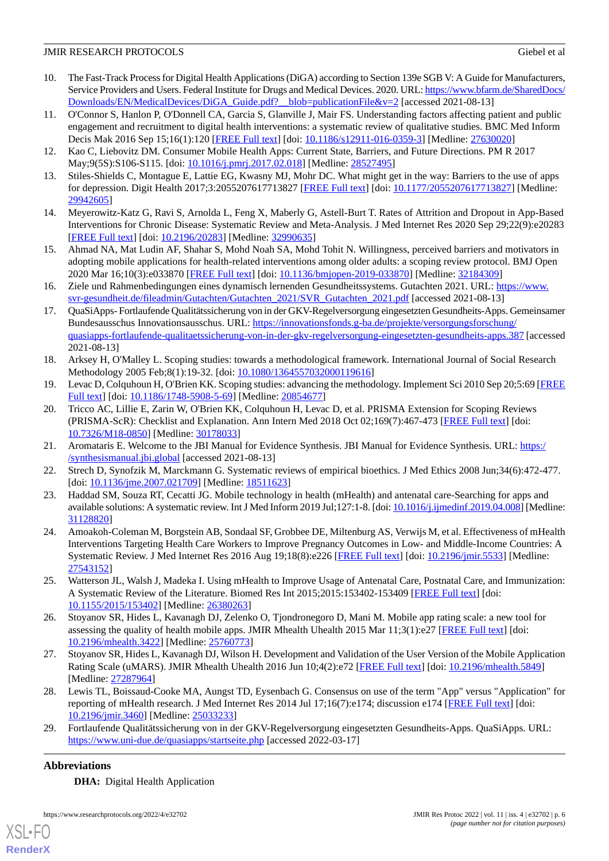- <span id="page-5-0"></span>10. The Fast-Track Process for Digital Health Applications (DiGA) according to Section 139e SGB V: A Guide for Manufacturers, Service Providers and Users. Federal Institute for Drugs and Medical Devices. 2020. URL: [https://www.bfarm.de/SharedDocs/](https://www.bfarm.de/SharedDocs/Downloads/EN/MedicalDevices/DiGA_Guide.pdf?__blob=publicationFile&v=2) [Downloads/EN/MedicalDevices/DiGA\\_Guide.pdf?\\_\\_blob=publicationFile&v=2](https://www.bfarm.de/SharedDocs/Downloads/EN/MedicalDevices/DiGA_Guide.pdf?__blob=publicationFile&v=2) [accessed 2021-08-13]
- <span id="page-5-1"></span>11. O'Connor S, Hanlon P, O'Donnell CA, Garcia S, Glanville J, Mair FS. Understanding factors affecting patient and public engagement and recruitment to digital health interventions: a systematic review of qualitative studies. BMC Med Inform Decis Mak 2016 Sep 15;16(1):120 [[FREE Full text](https://bmcmedinformdecismak.biomedcentral.com/articles/10.1186/s12911-016-0359-3)] [doi: [10.1186/s12911-016-0359-3](http://dx.doi.org/10.1186/s12911-016-0359-3)] [Medline: [27630020](http://www.ncbi.nlm.nih.gov/entrez/query.fcgi?cmd=Retrieve&db=PubMed&list_uids=27630020&dopt=Abstract)]
- <span id="page-5-3"></span><span id="page-5-2"></span>12. Kao C, Liebovitz DM. Consumer Mobile Health Apps: Current State, Barriers, and Future Directions. PM R 2017 May;9(5S):S106-S115. [doi: [10.1016/j.pmrj.2017.02.018](http://dx.doi.org/10.1016/j.pmrj.2017.02.018)] [Medline: [28527495](http://www.ncbi.nlm.nih.gov/entrez/query.fcgi?cmd=Retrieve&db=PubMed&list_uids=28527495&dopt=Abstract)]
- <span id="page-5-4"></span>13. Stiles-Shields C, Montague E, Lattie EG, Kwasny MJ, Mohr DC. What might get in the way: Barriers to the use of apps for depression. Digit Health 2017;3:2055207617713827 [\[FREE Full text\]](https://tinyurl.com/2vaferaw) [doi: [10.1177/2055207617713827\]](http://dx.doi.org/10.1177/2055207617713827) [Medline: [29942605](http://www.ncbi.nlm.nih.gov/entrez/query.fcgi?cmd=Retrieve&db=PubMed&list_uids=29942605&dopt=Abstract)]
- <span id="page-5-5"></span>14. Meyerowitz-Katz G, Ravi S, Arnolda L, Feng X, Maberly G, Astell-Burt T. Rates of Attrition and Dropout in App-Based Interventions for Chronic Disease: Systematic Review and Meta-Analysis. J Med Internet Res 2020 Sep 29;22(9):e20283 [[FREE Full text](https://www.jmir.org/2020/9/e20283/)] [doi: [10.2196/20283\]](http://dx.doi.org/10.2196/20283) [Medline: [32990635\]](http://www.ncbi.nlm.nih.gov/entrez/query.fcgi?cmd=Retrieve&db=PubMed&list_uids=32990635&dopt=Abstract)
- <span id="page-5-6"></span>15. Ahmad NA, Mat Ludin AF, Shahar S, Mohd Noah SA, Mohd Tohit N. Willingness, perceived barriers and motivators in adopting mobile applications for health-related interventions among older adults: a scoping review protocol. BMJ Open 2020 Mar 16;10(3):e033870 [[FREE Full text](https://bmjopen.bmj.com/lookup/pmidlookup?view=long&pmid=32184309)] [doi: [10.1136/bmjopen-2019-033870](http://dx.doi.org/10.1136/bmjopen-2019-033870)] [Medline: [32184309](http://www.ncbi.nlm.nih.gov/entrez/query.fcgi?cmd=Retrieve&db=PubMed&list_uids=32184309&dopt=Abstract)]
- <span id="page-5-7"></span>16. Ziele und Rahmenbedingungen eines dynamisch lernenden Gesundheitssystems. Gutachten 2021. URL: [https://www.](https://www.svr-gesundheit.de/fileadmin/Gutachten/Gutachten_2021/SVR_Gutachten_2021.pdf) [svr-gesundheit.de/fileadmin/Gutachten/Gutachten\\_2021/SVR\\_Gutachten\\_2021.pdf](https://www.svr-gesundheit.de/fileadmin/Gutachten/Gutachten_2021/SVR_Gutachten_2021.pdf) [accessed 2021-08-13]
- <span id="page-5-8"></span>17. QuaSiApps- Fortlaufende Qualitätssicherung von in der GKV-Regelversorgung eingesetzten Gesundheits-Apps. Gemeinsamer Bundesausschus Innovationsausschus. URL: [https://innovationsfonds.g-ba.de/projekte/versorgungsforschung/](https://innovationsfonds.g-ba.de/projekte/versorgungsforschung/quasiapps-fortlaufende-qualitaetssicherung-von-in-der-gkv-regelversorgung-eingesetzten-gesundheits-apps.387) [quasiapps-fortlaufende-qualitaetssicherung-von-in-der-gkv-regelversorgung-eingesetzten-gesundheits-apps.387](https://innovationsfonds.g-ba.de/projekte/versorgungsforschung/quasiapps-fortlaufende-qualitaetssicherung-von-in-der-gkv-regelversorgung-eingesetzten-gesundheits-apps.387) [accessed 2021-08-13]
- <span id="page-5-10"></span><span id="page-5-9"></span>18. Arksey H, O'Malley L. Scoping studies: towards a methodological framework. International Journal of Social Research Methodology 2005 Feb;8(1):19-32. [doi: [10.1080/1364557032000119616\]](http://dx.doi.org/10.1080/1364557032000119616)
- 19. Levac D, Colquhoun H, O'Brien KK. Scoping studies: advancing the methodology. Implement Sci 2010 Sep 20;5:69 [\[FREE](https://implementationscience.biomedcentral.com/articles/10.1186/1748-5908-5-69) [Full text\]](https://implementationscience.biomedcentral.com/articles/10.1186/1748-5908-5-69) [doi: [10.1186/1748-5908-5-69\]](http://dx.doi.org/10.1186/1748-5908-5-69) [Medline: [20854677](http://www.ncbi.nlm.nih.gov/entrez/query.fcgi?cmd=Retrieve&db=PubMed&list_uids=20854677&dopt=Abstract)]
- <span id="page-5-12"></span><span id="page-5-11"></span>20. Tricco AC, Lillie E, Zarin W, O'Brien KK, Colquhoun H, Levac D, et al. PRISMA Extension for Scoping Reviews (PRISMA-ScR): Checklist and Explanation. Ann Intern Med 2018 Oct 02;169(7):467-473 [[FREE Full text](https://www.acpjournals.org/doi/abs/10.7326/M18-0850?url_ver=Z39.88-2003&rfr_id=ori:rid:crossref.org&rfr_dat=cr_pub%3dpubmed)] [doi: [10.7326/M18-0850](http://dx.doi.org/10.7326/M18-0850)] [Medline: [30178033\]](http://www.ncbi.nlm.nih.gov/entrez/query.fcgi?cmd=Retrieve&db=PubMed&list_uids=30178033&dopt=Abstract)
- <span id="page-5-13"></span>21. Aromataris E. Welcome to the JBI Manual for Evidence Synthesis. JBI Manual for Evidence Synthesis. URL: [https:/](https://synthesismanual.jbi.global) [/synthesismanual.jbi.global](https://synthesismanual.jbi.global) [accessed 2021-08-13]
- <span id="page-5-14"></span>22. Strech D, Synofzik M, Marckmann G. Systematic reviews of empirical bioethics. J Med Ethics 2008 Jun;34(6):472-477. [doi: [10.1136/jme.2007.021709](http://dx.doi.org/10.1136/jme.2007.021709)] [Medline: [18511623\]](http://www.ncbi.nlm.nih.gov/entrez/query.fcgi?cmd=Retrieve&db=PubMed&list_uids=18511623&dopt=Abstract)
- 23. Haddad SM, Souza RT, Cecatti JG. Mobile technology in health (mHealth) and antenatal care-Searching for apps and available solutions: A systematic review. Int J Med Inform 2019 Jul;127:1-8. [doi: [10.1016/j.ijmedinf.2019.04.008\]](http://dx.doi.org/10.1016/j.ijmedinf.2019.04.008) [Medline: [31128820](http://www.ncbi.nlm.nih.gov/entrez/query.fcgi?cmd=Retrieve&db=PubMed&list_uids=31128820&dopt=Abstract)]
- <span id="page-5-15"></span>24. Amoakoh-Coleman M, Borgstein AB, Sondaal SF, Grobbee DE, Miltenburg AS, Verwijs M, et al. Effectiveness of mHealth Interventions Targeting Health Care Workers to Improve Pregnancy Outcomes in Low- and Middle-Income Countries: A Systematic Review. J Med Internet Res 2016 Aug 19;18(8):e226 [\[FREE Full text\]](https://www.jmir.org/2016/8/e226/) [doi: [10.2196/jmir.5533\]](http://dx.doi.org/10.2196/jmir.5533) [Medline: [27543152](http://www.ncbi.nlm.nih.gov/entrez/query.fcgi?cmd=Retrieve&db=PubMed&list_uids=27543152&dopt=Abstract)]
- <span id="page-5-17"></span><span id="page-5-16"></span>25. Watterson JL, Walsh J, Madeka I. Using mHealth to Improve Usage of Antenatal Care, Postnatal Care, and Immunization: A Systematic Review of the Literature. Biomed Res Int 2015;2015:153402-153409 [\[FREE Full text\]](https://doi.org/10.1155/2015/153402) [doi: [10.1155/2015/153402\]](http://dx.doi.org/10.1155/2015/153402) [Medline: [26380263](http://www.ncbi.nlm.nih.gov/entrez/query.fcgi?cmd=Retrieve&db=PubMed&list_uids=26380263&dopt=Abstract)]
- <span id="page-5-18"></span>26. Stoyanov SR, Hides L, Kavanagh DJ, Zelenko O, Tjondronegoro D, Mani M. Mobile app rating scale: a new tool for assessing the quality of health mobile apps. JMIR Mhealth Uhealth 2015 Mar  $11;3(1):e27$  [\[FREE Full text](https://mhealth.jmir.org/2015/1/e27/)] [doi: [10.2196/mhealth.3422](http://dx.doi.org/10.2196/mhealth.3422)] [Medline: [25760773](http://www.ncbi.nlm.nih.gov/entrez/query.fcgi?cmd=Retrieve&db=PubMed&list_uids=25760773&dopt=Abstract)]
- <span id="page-5-19"></span>27. Stoyanov SR, Hides L, Kavanagh DJ, Wilson H. Development and Validation of the User Version of the Mobile Application Rating Scale (uMARS). JMIR Mhealth Uhealth 2016 Jun 10;4(2):e72 [[FREE Full text\]](https://mhealth.jmir.org/2016/2/e72/) [doi: [10.2196/mhealth.5849](http://dx.doi.org/10.2196/mhealth.5849)] [Medline: [27287964](http://www.ncbi.nlm.nih.gov/entrez/query.fcgi?cmd=Retrieve&db=PubMed&list_uids=27287964&dopt=Abstract)]
- 28. Lewis TL, Boissaud-Cooke MA, Aungst TD, Eysenbach G. Consensus on use of the term "App" versus "Application" for reporting of mHealth research. J Med Internet Res 2014 Jul 17;16(7):e174; discussion e174 [\[FREE Full text](https://www.jmir.org/2014/7/e174/)] [doi: [10.2196/jmir.3460](http://dx.doi.org/10.2196/jmir.3460)] [Medline: [25033233](http://www.ncbi.nlm.nih.gov/entrez/query.fcgi?cmd=Retrieve&db=PubMed&list_uids=25033233&dopt=Abstract)]
- 29. Fortlaufende Qualitätssicherung von in der GKV-Regelversorgung eingesetzten Gesundheits-Apps. QuaSiApps. URL: <https://www.uni-due.de/quasiapps/startseite.php> [accessed 2022-03-17]

# **Abbreviations**

[XSL](http://www.w3.org/Style/XSL)•FO **[RenderX](http://www.renderx.com/)**

**DHA:** Digital Health Application